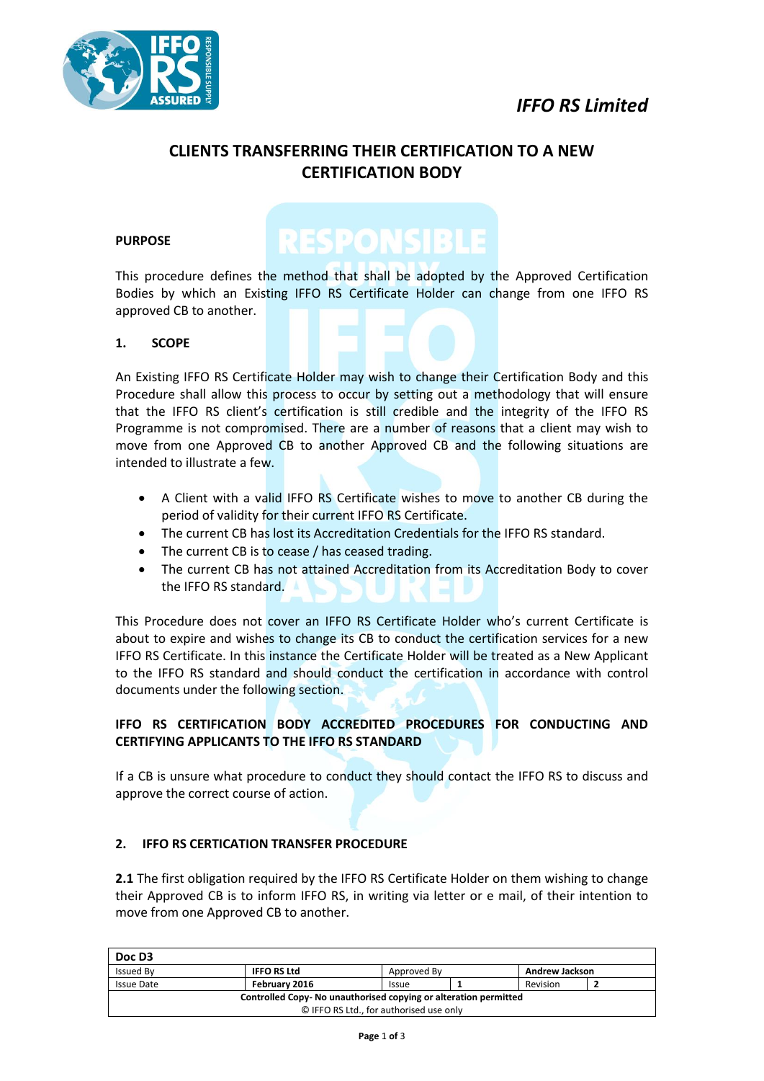



### **CLIENTS TRANSFERRING THEIR CERTIFICATION TO A NEW CERTIFICATION BODY**

#### **PURPOSE**

# **RESPONSIBLE**

This procedure defines the method that shall be adopted by the Approved Certification Bodies by which an Existing IFFO RS Certificate Holder can change from one IFFO RS approved CB to another.

#### **1. SCOPE**

An Existing IFFO RS Certificate Holder may wish to change their Certification Body and this Procedure shall allow this process to occur by setting out a methodology that will ensure that the IFFO RS client's certification is still credible and the integrity of the IFFO RS Programme is not compromised. There are a number of reasons that a client may wish to move from one Approved CB to another Approved CB and the following situations are intended to illustrate a few.

- A Client with a valid IFFO RS Certificate wishes to move to another CB during the period of validity for their current IFFO RS Certificate.
- The current CB has lost its Accreditation Credentials for the IFFO RS standard.
- The current CB is to cease / has ceased trading.
- The current CB has not attained Accreditation from its Accreditation Body to cover the IFFO RS standard.

This Procedure does not cover an IFFO RS Certificate Holder who's current Certificate is about to expire and wishes to change its CB to conduct the certification services for a new IFFO RS Certificate. In this instance the Certificate Holder will be treated as a New Applicant to the IFFO RS standard and should conduct the certification in accordance with control documents under the following section.

#### **IFFO RS CERTIFICATION BODY ACCREDITED PROCEDURES FOR CONDUCTING AND CERTIFYING APPLICANTS TO THE IFFO RS STANDARD**

If a CB is unsure what procedure to conduct they should contact the IFFO RS to discuss and approve the correct course of action.

#### **2. IFFO RS CERTICATION TRANSFER PROCEDURE**

**2.1** The first obligation required by the IFFO RS Certificate Holder on them wishing to change their Approved CB is to inform IFFO RS, in writing via letter or e mail, of their intention to move from one Approved CB to another.

| Doc D3                                                          |                    |              |  |                       |  |  |  |
|-----------------------------------------------------------------|--------------------|--------------|--|-----------------------|--|--|--|
| <b>Issued By</b>                                                | <b>IFFO RS Ltd</b> | Approved By  |  | <b>Andrew Jackson</b> |  |  |  |
| <b>Issue Date</b>                                               | February 2016      | <b>Issue</b> |  | Revision              |  |  |  |
| Controlled Copy-No unauthorised copying or alteration permitted |                    |              |  |                       |  |  |  |
| © IFFO RS Ltd., for authorised use only                         |                    |              |  |                       |  |  |  |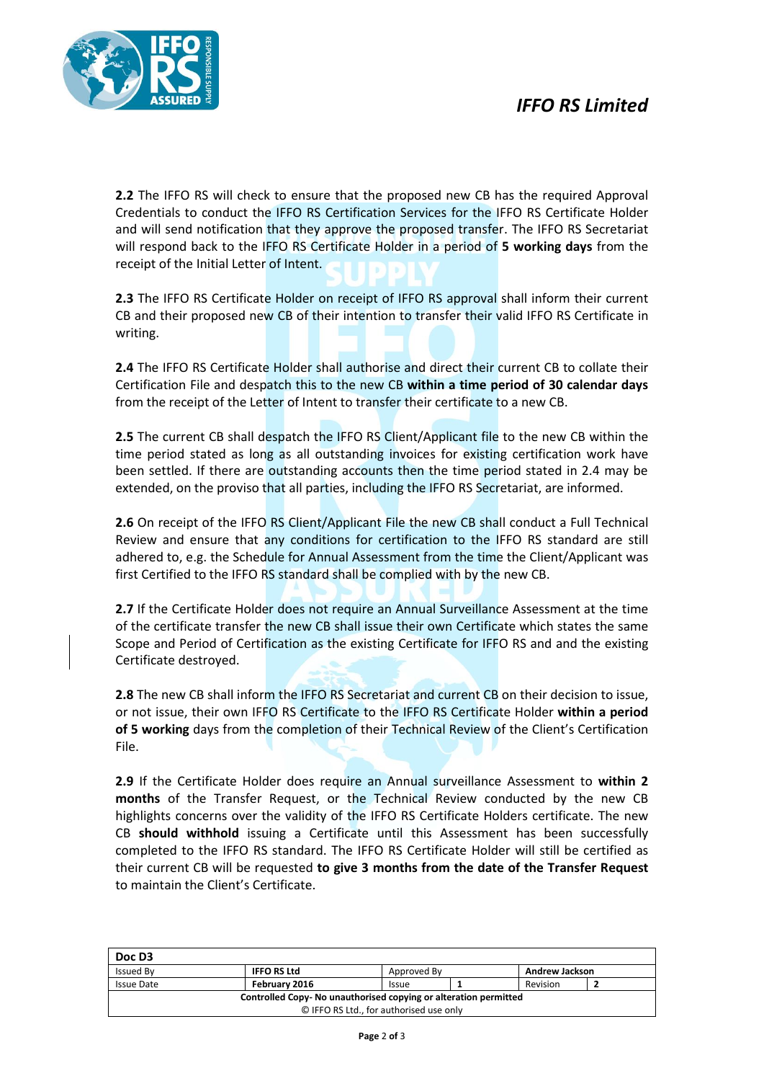

**2.2** The IFFO RS will check to ensure that the proposed new CB has the required Approval Credentials to conduct the IFFO RS Certification Services for the IFFO RS Certificate Holder and will send notification that they approve the proposed transfer. The IFFO RS Secretariat will respond back to the IFFO RS Certificate Holder in a period of **5 working days** from the receipt of the Initial Letter of Intent.

**2.3** The IFFO RS Certificate Holder on receipt of IFFO RS approval shall inform their current CB and their proposed new CB of their intention to transfer their valid IFFO RS Certificate in writing.

**2.4** The IFFO RS Certificate Holder shall authorise and direct their current CB to collate their Certification File and despatch this to the new CB **within a time period of 30 calendar days** from the receipt of the Letter of Intent to transfer their certificate to a new CB.

**2.5** The current CB shall despatch the IFFO RS Client/Applicant file to the new CB within the time period stated as long as all outstanding invoices for existing certification work have been settled. If there are outstanding accounts then the time period stated in 2.4 may be extended, on the proviso that all parties, including the IFFO RS Secretariat, are informed.

**2.6** On receipt of the IFFO RS Client/Applicant File the new CB shall conduct a Full Technical Review and ensure that any conditions for certification to the IFFO RS standard are still adhered to, e.g. the Schedule for Annual Assessment from the time the Client/Applicant was first Certified to the IFFO RS standard shall be complied with by the new CB.

**2.7** If the Certificate Holder does not require an Annual Surveillance Assessment at the time of the certificate transfer the new CB shall issue their own Certificate which states the same Scope and Period of Certification as the existing Certificate for IFFO RS and and the existing Certificate destroyed.

**2.8** The new CB shall inform the IFFO RS Secretariat and current CB on their decision to issue, or not issue, their own IFFO RS Certificate to the IFFO RS Certificate Holder **within a period of 5 working** days from the completion of their Technical Review of the Client's Certification File.

**2.9** If the Certificate Holder does require an Annual surveillance Assessment to **within 2 months** of the Transfer Request, or the Technical Review conducted by the new CB highlights concerns over the validity of the IFFO RS Certificate Holders certificate. The new CB **should withhold** issuing a Certificate until this Assessment has been successfully completed to the IFFO RS standard. The IFFO RS Certificate Holder will still be certified as their current CB will be requested **to give 3 months from the date of the Transfer Request** to maintain the Client's Certificate.

| Doc D3                                                          |                    |              |  |                       |  |  |  |
|-----------------------------------------------------------------|--------------------|--------------|--|-----------------------|--|--|--|
| <b>Issued By</b>                                                | <b>IFFO RS Ltd</b> | Approved By  |  | <b>Andrew Jackson</b> |  |  |  |
| <b>Issue Date</b>                                               | February 2016      | <b>Issue</b> |  | Revision              |  |  |  |
| Controlled Copy-No unauthorised copying or alteration permitted |                    |              |  |                       |  |  |  |
| © IFFO RS Ltd., for authorised use only                         |                    |              |  |                       |  |  |  |